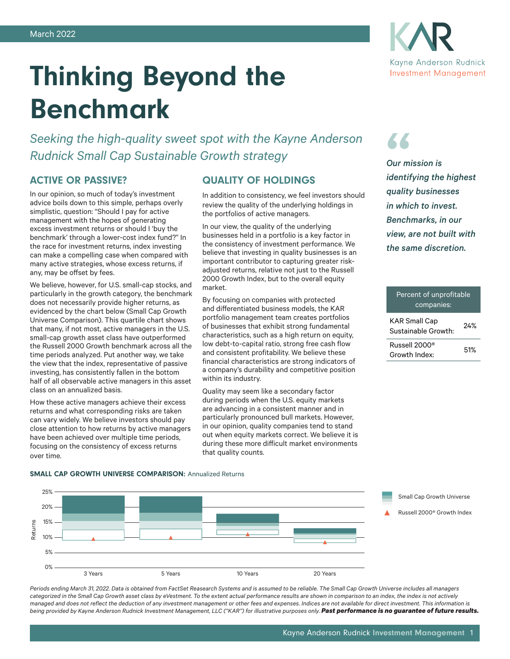# Thinking Beyond the Benchmark

*Seeking the high-quality sweet spot with the Kayne Anderson Rudnick Small Cap Sustainable Growth strategy*

### ACTIVE OR PASSIVE?

In our opinion, so much of today's investment advice boils down to this simple, perhaps overly simplistic, question: "Should I pay for active management with the hopes of generating excess investment returns or should I 'buy the benchmark' through a lower-cost index fund?" In the race for investment returns, index investing can make a compelling case when compared with many active strategies, whose excess returns, if any, may be offset by fees.

We believe, however, for U.S. small-cap stocks, and particularly in the growth category, the benchmark does not necessarily provide higher returns, as evidenced by the chart below (Small Cap Growth Universe Comparison). This quartile chart shows that many, if not most, active managers in the U.S. small-cap growth asset class have outperformed the Russell 2000 Growth benchmark across all the time periods analyzed. Put another way, we take the view that the index, representative of passive investing, has consistently fallen in the bottom half of all observable active managers in this asset class on an annualized basis.

How these active managers achieve their excess returns and what corresponding risks are taken can vary widely. We believe investors should pay close attention to how returns by active managers have been achieved over multiple time periods, focusing on the consistency of excess returns over time.

## QUALITY OF HOLDINGS

In addition to consistency, we feel investors should review the quality of the underlying holdings in the portfolios of active managers.

In our view, the quality of the underlying businesses held in a portfolio is a key factor in the consistency of investment performance. We believe that investing in quality businesses is an important contributor to capturing greater riskadjusted returns, relative not just to the Russell 2000 Growth Index, but to the overall equity market.

By focusing on companies with protected and differentiated business models, the KAR portfolio management team creates portfolios of businesses that exhibit strong fundamental characteristics, such as a high return on equity, low debt-to-capital ratio, strong free cash flow and consistent profitability. We believe these financial characteristics are strong indicators of a company's durability and competitive position within its industry.

Quality may seem like a secondary factor during periods when the U.S. equity markets are advancing in a consistent manner and in particularly pronounced bull markets. However, in our opinion, quality companies tend to stand out when equity markets correct. We believe it is during these more difficult market environments that quality counts.



## Percent of unprofitable companies: KAR Small Cap Sustainable Growth: 24% Russell 2000® Russell 2000<br>Growth Index: 51%

#### SMALL CAP GROWTH UNIVERSE COMPARISON: Annualized Returns



*Periods ending March 31, 2022. Data is obtained from FactSet Reasearch Systems and is assumed to be reliable. The Small Cap Growth Universe includes all managers categorized in the Small Cap Growth asset class by eVestment. To the extent actual performance results are shown in comparison to an index, the index is not actively managed and does not reflect the deduction of any investment management or other fees and expenses. Indices are not available for direct investment. This information is*  being provided by Kayne Anderson Rudnick Investment Management, LLC ("KAR") for illustrative purposes only. Past performance is no guarantee of future results.

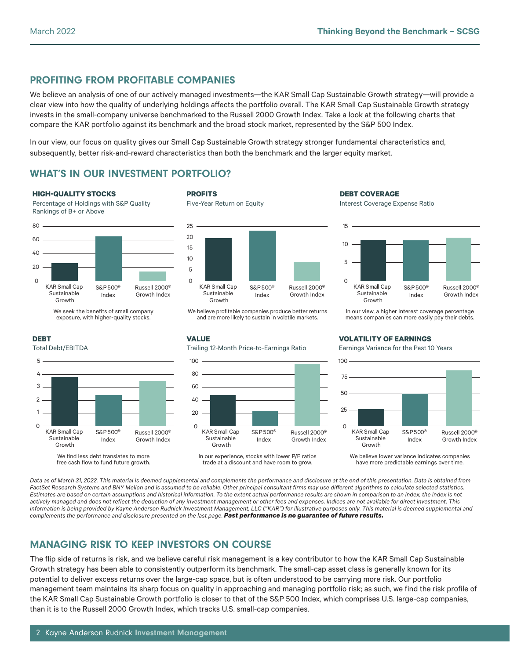# PROFITING FROM PROFITABLE COMPANIES

We believe an analysis of one of our actively managed investments—the KAR Small Cap Sustainable Growth strategy—will provide a clear view into how the quality of underlying holdings affects the portfolio overall. The KAR Small Cap Sustainable Growth strategy invests in the small-company universe benchmarked to the Russell 2000 Growth Index. Take a look at the following charts that compare the KAR portfolio against its benchmark and the broad stock market, represented by the S&P 500 Index.

In our view, our focus on quality gives our Small Cap Sustainable Growth strategy stronger fundamental characteristics and, subsequently, better risk-and-reward characteristics than both the benchmark and the larger equity market.

# WHAT'S IN OUR INVESTMENT PORTFOLIO?

#### **HIGH-QUALITY STOCKS**

Percentage of Holdings with S&P Quality Rankings of B+ or Above



We seek the benefits of small company exposure, with higher-quality stocks.

#### **DEBT**

Total Debt/EBITDA



We find less debt translates to more free cash flow to fund future growth.

#### **PROFITS**



We believe profitable companies produce better returns and are more likely to sustain in volatile markets.

# **VALUE**

Trailing 12-Month Price-to-Earnings Ratio



In our experience, stocks with lower P/E ratios trade at a discount and have room to grow.

**DEBT COVERAGE**

Interest Coverage Expense Ratio



In our view, a higher interest coverage percentage means companies can more easily pay their debts.

#### **VOLATILITY OF EARNINGS**

Earnings Variance for the Past 10 Years



We believe lower variance indicates companies have more predictable earnings over time.

*Data as of March 31, 2022. This material is deemed supplemental and complements the performance and disclosure at the end of this presentation. Data is obtained from FactSet Research Systems and BNY Mellon and is assumed to be reliable. Other principal consultant firms may use different algorithms to calculate selected statistics. Estimates are based on certain assumptions and historical information. To the extent actual performance results are shown in comparison to an index, the index is not actively managed and does not reflect the deduction of any investment management or other fees and expenses. Indices are not available for direct investment. This information is being provided by Kayne Anderson Rudnick Investment Management, LLC ("KAR") for illustrative purposes only. This material is deemed supplemental and complements the performance and disclosure presented on the last page. Past performance is no guarantee of future results.*

# MANAGING RISK TO KEEP INVESTORS ON COURSE

The flip side of returns is risk, and we believe careful risk management is a key contributor to how the KAR Small Cap Sustainable Growth strategy has been able to consistently outperform its benchmark. The small-cap asset class is generally known for its potential to deliver excess returns over the large-cap space, but is often understood to be carrying more risk. Our portfolio management team maintains its sharp focus on quality in approaching and managing portfolio risk; as such, we find the risk profile of the KAR Small Cap Sustainable Growth portfolio is closer to that of the S&P 500 Index, which comprises U.S. large-cap companies, than it is to the Russell 2000 Growth Index, which tracks U.S. small-cap companies.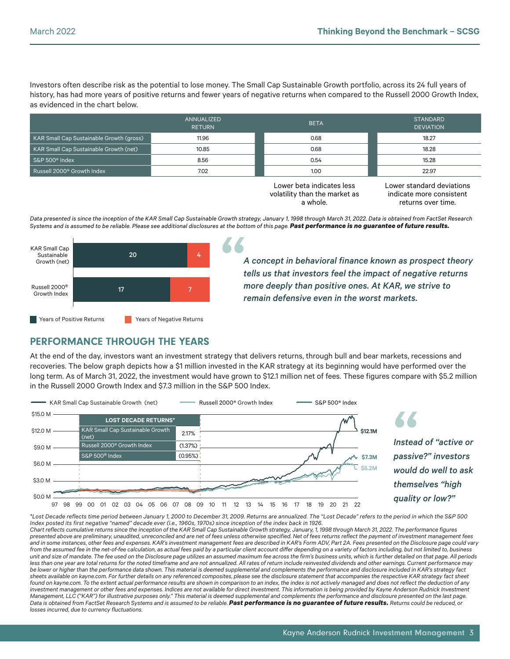Investors often describe risk as the potential to lose money. The Small Cap Sustainable Growth portfolio, across its 24 full years of history, has had more years of positive returns and fewer years of negative returns when compared to the Russell 2000 Growth Index, as evidenced in the chart below.

|                                          | ANNUALIZED<br><b>RETURN</b> | <b>BETA</b> | <b>STANDARD</b><br><b>DEVIATION</b> |  |
|------------------------------------------|-----------------------------|-------------|-------------------------------------|--|
| KAR Small Cap Sustainable Growth (gross) | 11.96                       | 0.68        | 18.27                               |  |
| KAR Small Cap Sustainable Growth (net)   | 10.85                       | 0.68        | 18.28                               |  |
| S&P 500 <sup>®</sup> Index               | 8.56                        | 0.54        | 15.28                               |  |
| Russell 2000 <sup>®</sup> Growth Index   | 7.02                        | 1.00        | 22.97                               |  |

Lower beta indicates less volatility than the market as a whole.

Lower standard deviations indicate more consistent returns over time.

*Data presented is since the inception of the KAR Small Cap Sustainable Growth strategy, January 1, 1998 through March 31, 2022. Data is obtained from FactSet Research*  Systems and is assumed to be reliable. Please see additional disclosures at the bottom of this page. Past performance is no guarantee of future results.



*A concept in behavioral finance known as prospect theory tells us that investors feel the impact of negative returns more deeply than positive ones. At KAR, we strive to remain defensive even in the worst markets.*

## PERFORMANCE THROUGH THE YEARS

At the end of the day, investors want an investment strategy that delivers returns, through bull and bear markets, recessions and recoveries. The below graph depicts how a \$1 million invested in the KAR strategy at its beginning would have performed over the long term. As of March 31, 2022, the investment would have grown to \$12.1 million net of fees. These figures compare with \$5.2 million in the Russell 2000 Growth Index and \$7.3 million in the S&P 500 Index.



*\*Lost Decade reflects time period between January 1, 2000 to December 31, 2009. Returns are annualized. The "Lost Decade" refers to the period in which the S&P 500 Index posted its first negative "named" decade ever (i.e., 1960s, 1970s) since inception of the index back in 1926.*

*Chart reflects cumulative returns since the inception of the KAR Small Cap Sustainable Growth strategy, January, 1, 1998 through March 31, 2022. The performance figures presented above are preliminary, unaudited, unreconciled and are net of fees unless otherwise specified. Net of fees returns reflect the payment of investment management fees and in some instances, other fees and expenses. KAR's investment management fees are described in KAR's Form ADV, Part 2A. Fees presented on the Disclosure page could vary from the assumed fee in the net-of-fee calculation, as actual fees paid by a particular client account differ depending on a variety of factors including, but not limited to, business unit and size of mandate. The fee used on the Disclosure page utilizes an assumed maximum fee across the firm's business units, which is further detailed on that page. All periods*  less than one year are total returns for the noted timeframe and are not annualized. All rates of return include reinvested dividends and other earnings. Current performance may *be lower or higher than the performance data shown. This material is deemed supplemental and complements the performance and disclosure included in KAR's strategy fact sheets available on kayne.com. For further details on any referenced composites, please see the disclosure statement that accompanies the respective KAR strategy fact sheet*  found on kayne.com. To the extent actual performance results are shown in comparison to an index, the index is not actively managed and does not reflect the deduction of any *investment management or other fees and expenses. Indices are not available for direct investment. This information is being provided by Kayne Anderson Rudnick Investment Management, LLC ("KAR") for illustrative purposes only." This material is deemed supplemental and complements the performance and disclosure presented on the last page. Data is obtained from FactSet Research Systems and is assumed to be reliable. Past performance is no guarantee of future results. Returns could be reduced, or losses incurred, due to currency fluctuations.*